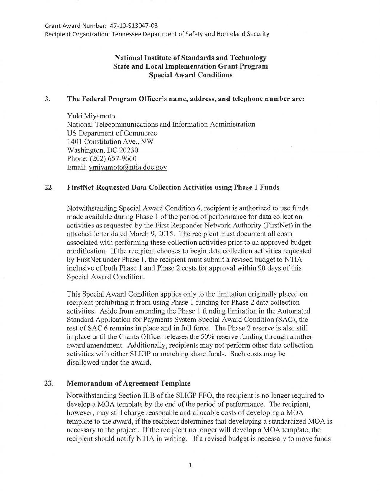Recipient Organization: Tennessee Department of Safety and Homeland Security

# **National Institute of Standards and Technology State and Local Implementation Grant Program Special Award Conditions**

#### **3. The Federal Program Officer's name, address, and telephone number are:**

Yuki Miyamoto National Telecommunications and Information Administration US Department of Commerce 1401 Constitution Ave., NW Washington, DC 20230 Phone: (202) 657-9660 Email: ymiyamoto@ntia.doc.gov

### **22. FirstNet-Requested Data Collection Activities using Phase 1 Funds**

Notwithstanding Special Award Condition 6, recipient is authorized to use funds made available during Phase 1 of the period of performance for data collection activities as requested by the First Responder Network Authority (FirstNet) in the attached letter dated March 9, 2015. The recipient must document all costs associated with performing these collection activities prior to an approved budget modification. If the recipient chooses to begin data collection activities requested by FirstNet under Phase 1, the recipient must submit a revised budget to NTIA inclusive of both Phase 1 and Phase 2 costs for approval within 90 days of this Special Award Condition.

This Special Award Condition applies only to the limitation originally placed on recipient prohibiting it from using Phase 1 funding for Phase 2 data collection activities. Aside from amending the Phase 1 funding limitation in the Automated Standard Application for Payments System Special Award Condition (SAC), the rest of SAC 6 remains in place and in full force. The Phase 2 reserve is also still in place until the Grants Officer releases the 50% reserve funding through another award amendment. Additionally, recipients may not perform other data collection activities with either SLIGP or matching share funds. Such costs may be disallowed under the award.

## **23. Memorandum of Agreement Template**

Notwithstanding Section II.B of the SLIGP FFO, the recipient is no longer required to develop a MOA template by the end of the period of performance. The recipient, however, may still charge reasonable and allocable costs of developing a MOA template to the award, if the recipient determines that developing a standardized MOA is necessary to the project. If the recipient no longer will develop a MOA template, the recipient should notify NTIA in writing. If a revised budget is necessary to move funds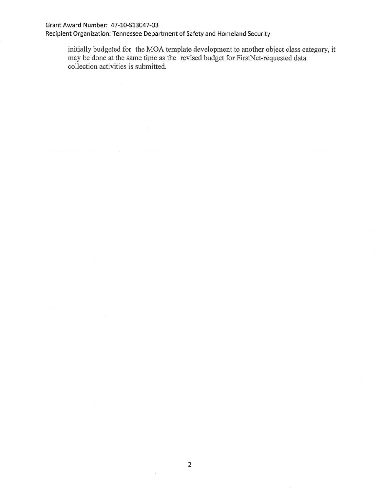#### Grant Award Number: 47-10-S13047-03

Recipient Organization: Tennessee Department of Safety and Homeland Security

initially budgeted for the MOA template development to another object class category, it may be done at the same time as the revised budget for FirstNet-requested data collection activities is submitted.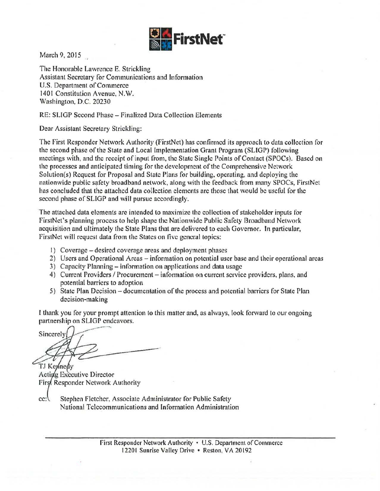

March 9, 2015

The Honorable Lawrence E. Strickling Assistant Secretary for Communications and Information U.S. Department of Commerce 1401 Constitution Avenue, N.W. Washington, D.C. 20230

RE: SLIGP Second Phase- Finalized Data Collection Elements

Dear Assistant Secretary Strickling:

The First Responder Network Authority (FirstNet) has confirmed its approach to data collection for the second phase of the State and Local implementation Grant Program (SLIGP) following meetings with, and the receipt of input from, the State Single Points of Contact (SPOCs). Based on the processes and anticipated timing for the development of the Comprehensive Network Solution(s) Request for Proposal and State Plans for building, operating, and deploying the nationwide public safety broadband network, along with the feedback from many SPOCs, FirstNet has concluded that the attached data collection elements are those that would be useful for the second phase of SLIGP and will pursue accordingly.

The attached data elements are intended to maximize the collection of stakeholder inputs tor FirstNet's planning process to help shape the Nationwide Public Safety Broadband Network acquisition and ultimately the State Plans that are delivered to each Governor. In particular, FirstNet will request data from the States on five general topics:

- I) Coverage- desired coverage areas and deployment phases
- 2) Users and Operational Areas information on potential user base and their operational areas
- 3) Capacity Planning- information on applications and data usage
- 4) Current Providers / Procurement information on current service providers, plans, and potential barriers to adoption
- 5) State Plan Decision- documentation of the process and potential barriers for State Plan decision-making

I thank you for your prompt attention to this matter and, as always, look forward to our ongoing partnership on SLIGP endeavors.

Sincerely

TJ Keynedy Acting Executive Director First Responder Network Authority

Stephen Fletcher, Associate Administrator for Public Safety  $cc:$ National Telecommunications and Information Administration